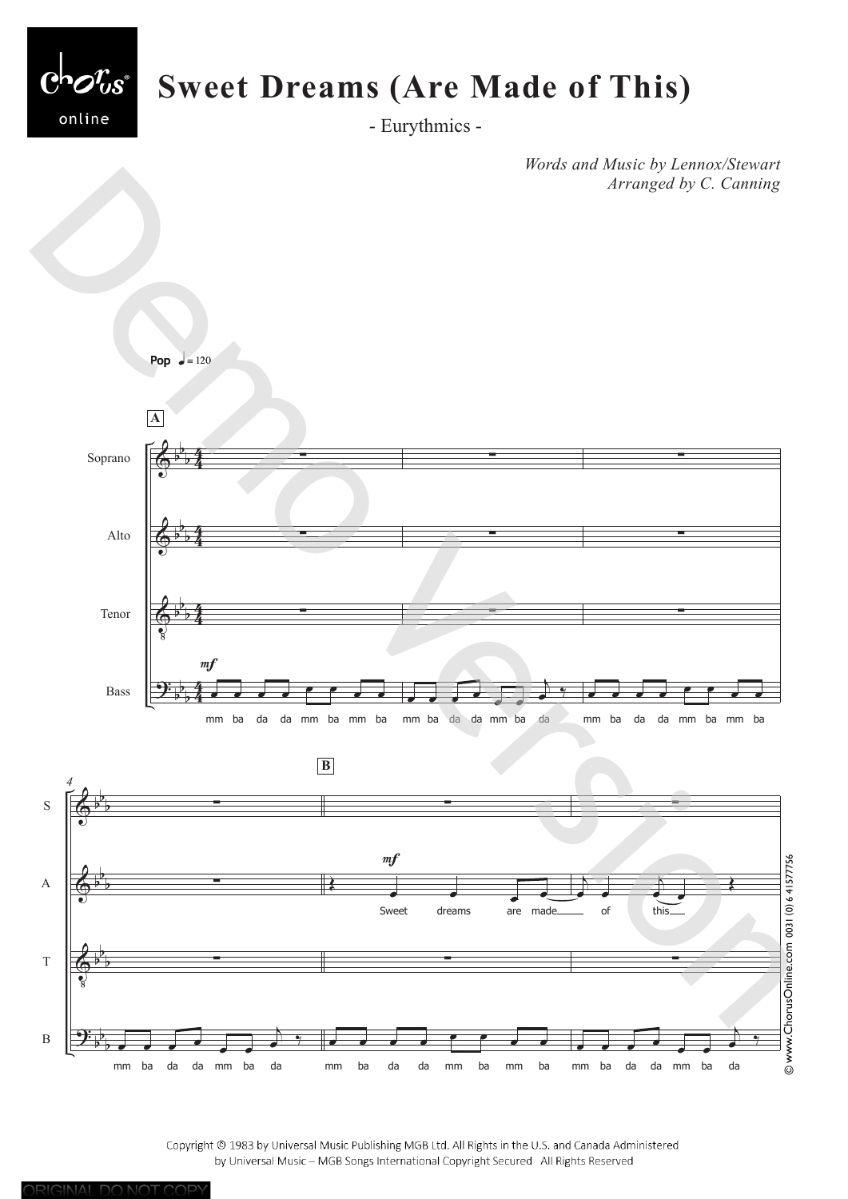

- Eurythmics -

*Words and Music by Lennox/Stewart Arranged by C. Canning*



Copyright @ 1983 by Universal Music Publishing MGB Ltd. All Rights in the U.S. and Canada Administered by Universal Music - MGB Songs International Copyright Secured All Rights Reserved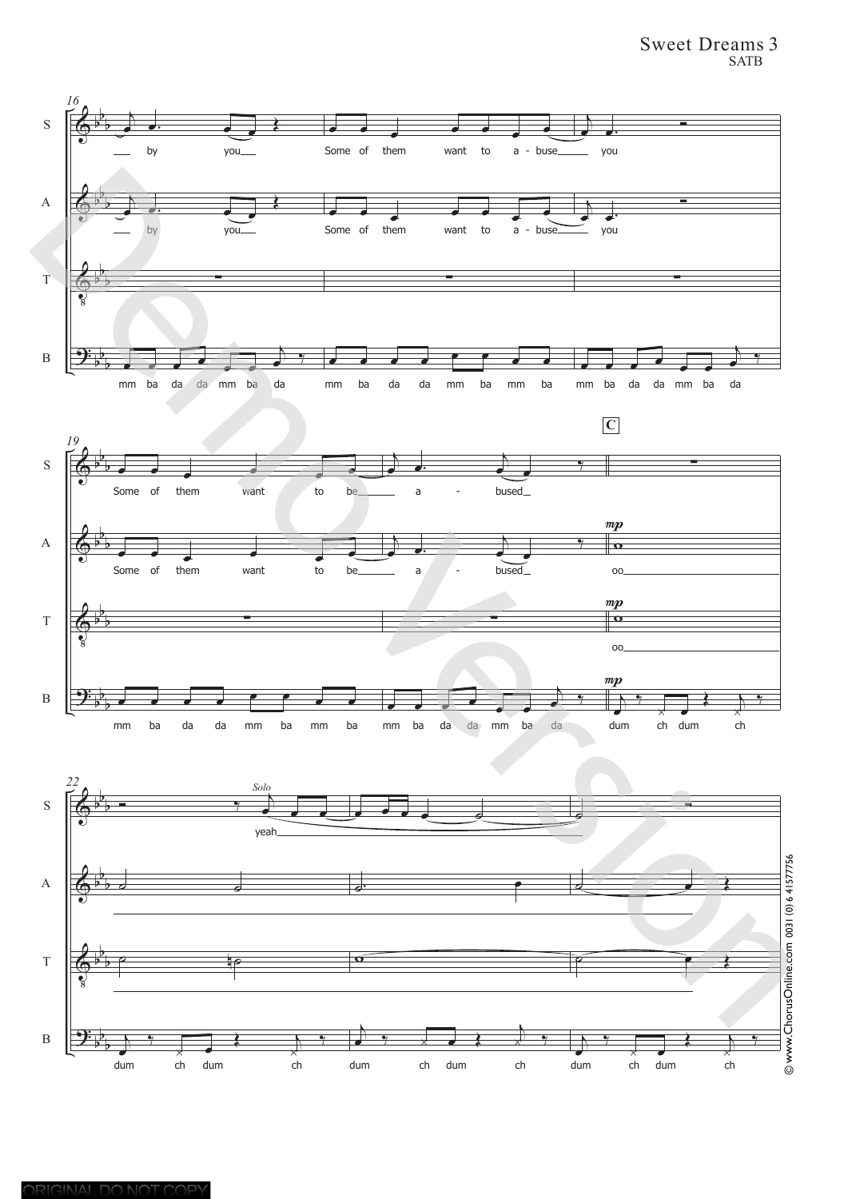## Sweet Dreams 3 SATB

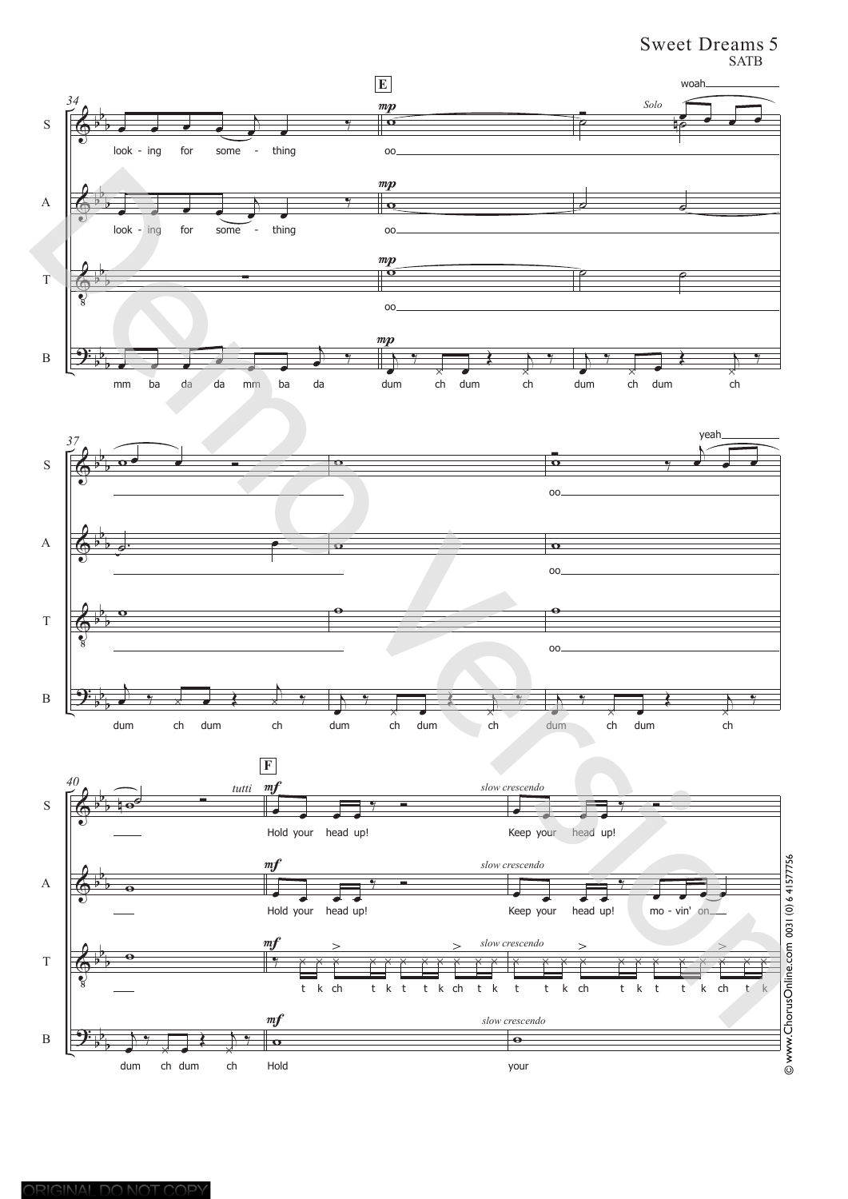## Sweet Dreams 5 SATB





your

ORIGINAL DO NOT COPY

dum ch dum ch

Hold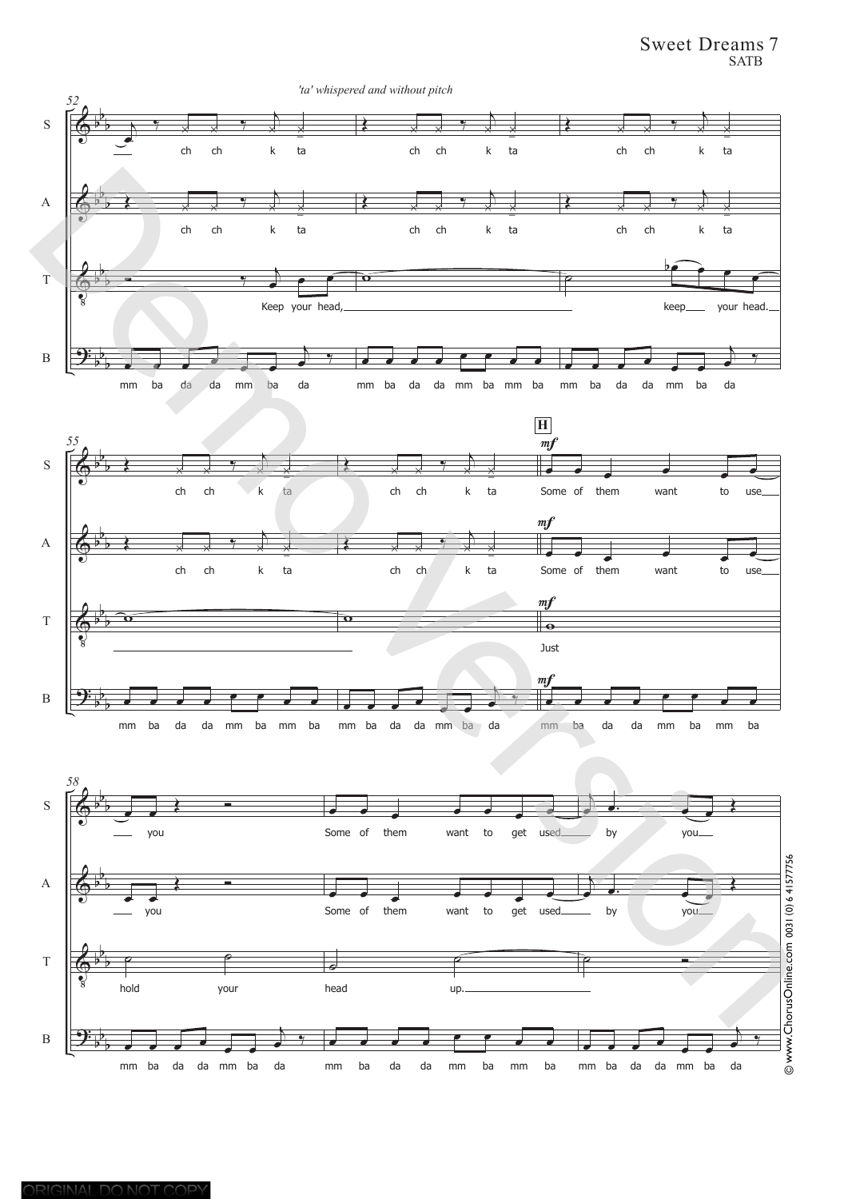Sweet Dreams 7 SATB

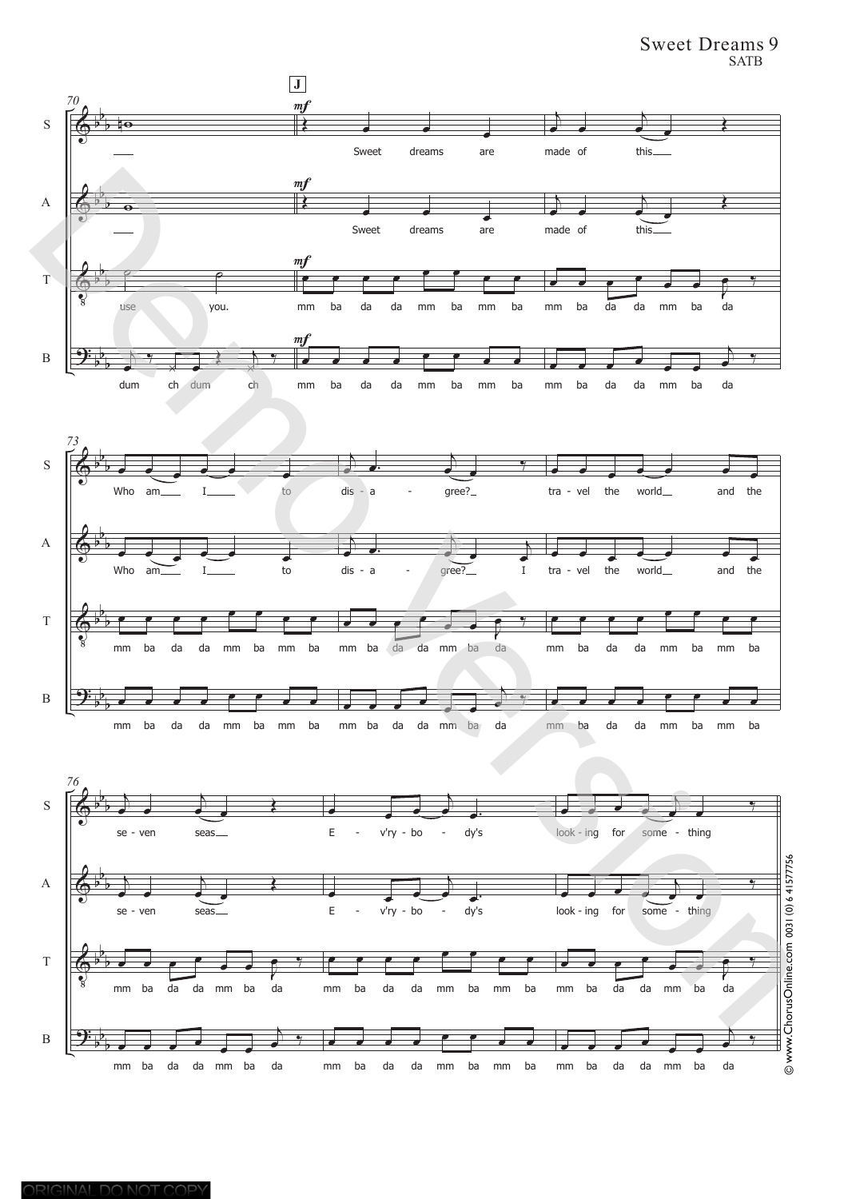Sweet Dreams 9 SATB

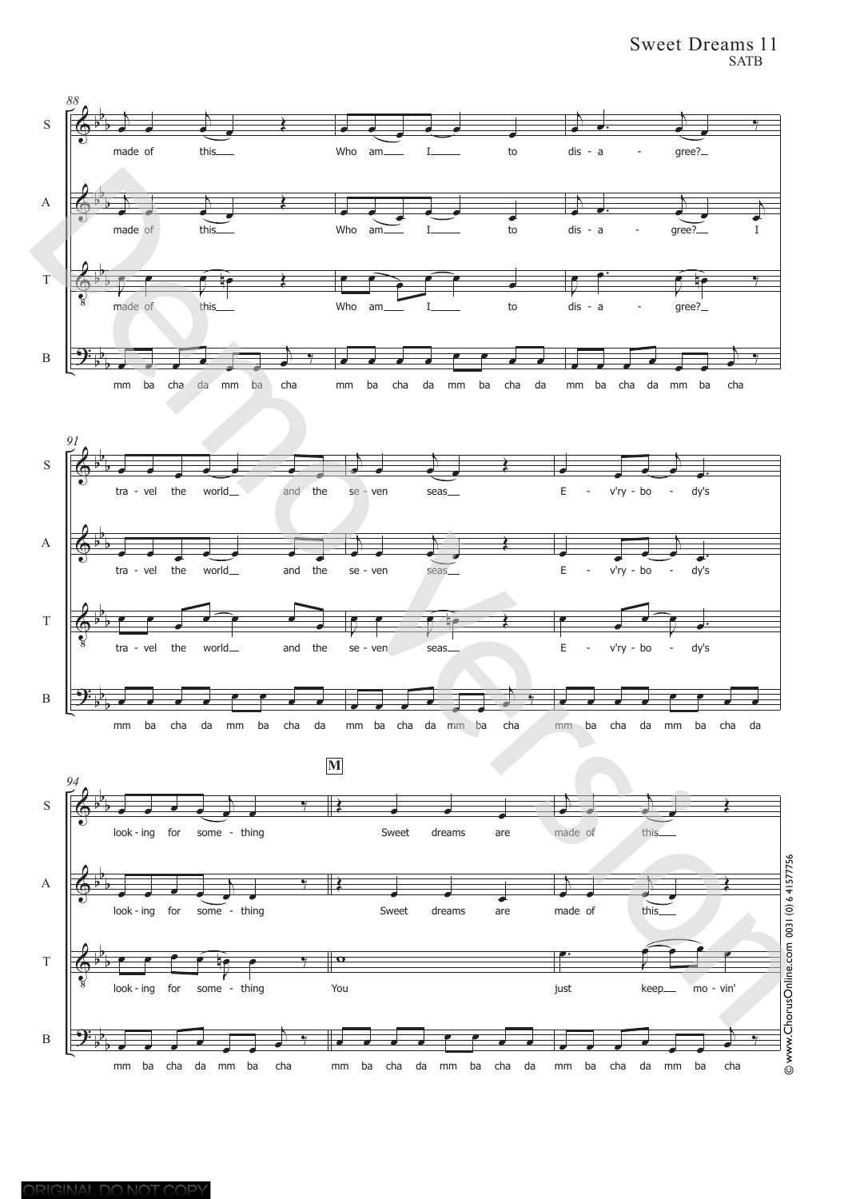## Sweet Dreams 11 SATB